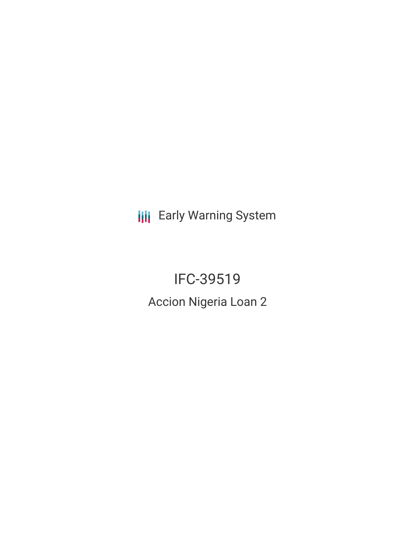**III** Early Warning System

IFC-39519 Accion Nigeria Loan 2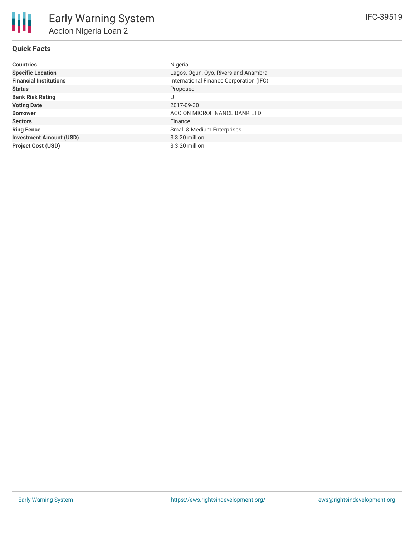# **Quick Facts**

| <b>Countries</b>               | Nigeria                                 |
|--------------------------------|-----------------------------------------|
| <b>Specific Location</b>       | Lagos, Ogun, Oyo, Rivers and Anambra    |
| <b>Financial Institutions</b>  | International Finance Corporation (IFC) |
| <b>Status</b>                  | Proposed                                |
| <b>Bank Risk Rating</b>        | U                                       |
| <b>Voting Date</b>             | 2017-09-30                              |
| <b>Borrower</b>                | ACCION MICROFINANCE BANK LTD            |
| <b>Sectors</b>                 | Finance                                 |
| <b>Ring Fence</b>              | Small & Medium Enterprises              |
| <b>Investment Amount (USD)</b> | $$3.20$ million                         |
| <b>Project Cost (USD)</b>      | $$3.20$ million                         |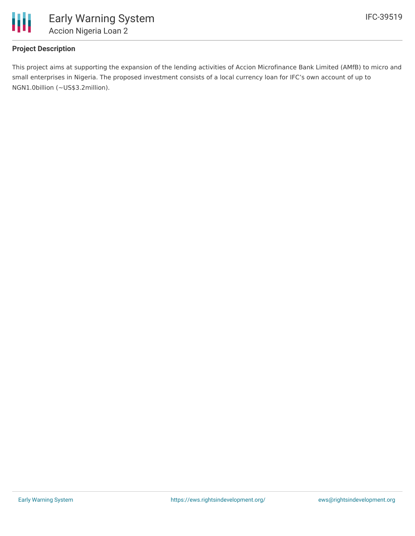

## **Project Description**

This project aims at supporting the expansion of the lending activities of Accion Microfinance Bank Limited (AMfB) to micro and small enterprises in Nigeria. The proposed investment consists of a local currency loan for IFC's own account of up to NGN1.0billion (~US\$3.2million).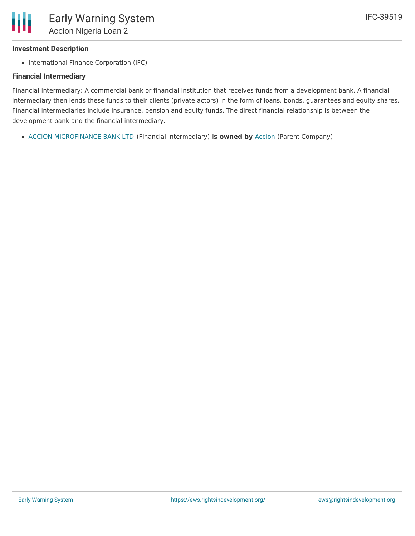## **Investment Description**

• International Finance Corporation (IFC)

#### **Financial Intermediary**

Financial Intermediary: A commercial bank or financial institution that receives funds from a development bank. A financial intermediary then lends these funds to their clients (private actors) in the form of loans, bonds, guarantees and equity shares. Financial intermediaries include insurance, pension and equity funds. The direct financial relationship is between the development bank and the financial intermediary.

ACCION [MICROFINANCE](file:///actor/3503/) BANK LTD (Financial Intermediary) **is owned by** [Accion](file:///actor/3559/) (Parent Company)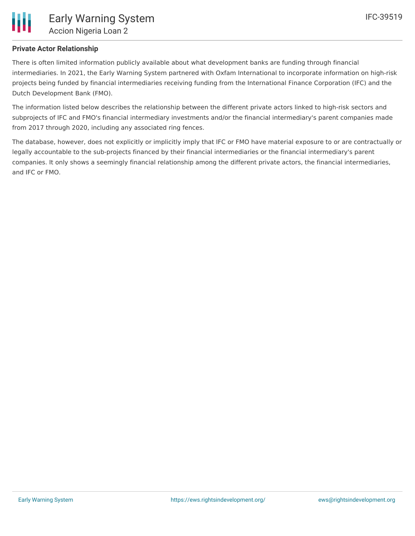There is often limited information publicly available about what development banks are funding through financial intermediaries. In 2021, the Early Warning System partnered with Oxfam International to incorporate information on high-risk projects being funded by financial intermediaries receiving funding from the International Finance Corporation (IFC) and the Dutch Development Bank (FMO).

The information listed below describes the relationship between the different private actors linked to high-risk sectors and subprojects of IFC and FMO's financial intermediary investments and/or the financial intermediary's parent companies made from 2017 through 2020, including any associated ring fences.

The database, however, does not explicitly or implicitly imply that IFC or FMO have material exposure to or are contractually or legally accountable to the sub-projects financed by their financial intermediaries or the financial intermediary's parent companies. It only shows a seemingly financial relationship among the different private actors, the financial intermediaries, and IFC or FMO.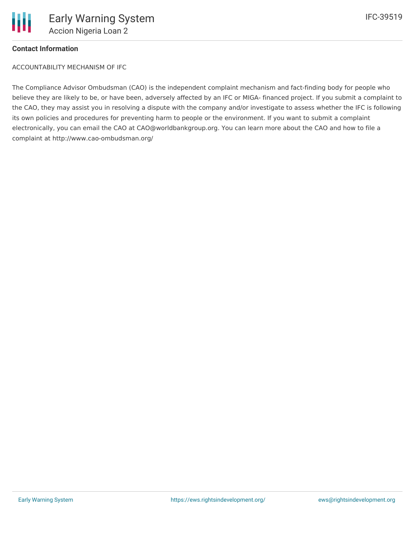

## **Contact Information**

ACCOUNTABILITY MECHANISM OF IFC

The Compliance Advisor Ombudsman (CAO) is the independent complaint mechanism and fact-finding body for people who believe they are likely to be, or have been, adversely affected by an IFC or MIGA- financed project. If you submit a complaint to the CAO, they may assist you in resolving a dispute with the company and/or investigate to assess whether the IFC is following its own policies and procedures for preventing harm to people or the environment. If you want to submit a complaint electronically, you can email the CAO at CAO@worldbankgroup.org. You can learn more about the CAO and how to file a complaint at http://www.cao-ombudsman.org/